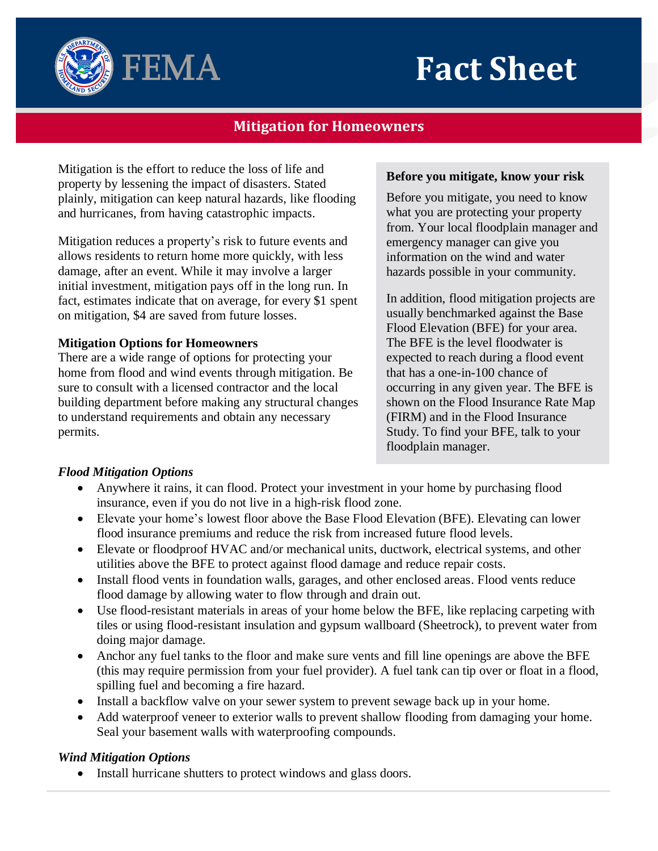

# **Mitigation for Homeowners**

Mitigation is the effort to reduce the loss of life and property by lessening the impact of disasters. Stated plainly, mitigation can keep natural hazards, like flooding and hurricanes, from having catastrophic impacts.

**FEMA** 

Mitigation reduces a property's risk to future events and allows residents to return home more quickly, with less damage, after an event. While it may involve a larger initial investment, mitigation pays off in the long run. In fact, estimates indicate that on average, for every \$1 spent on mitigation, \$4 are saved from future losses.

# **Mitigation Options for Homeowners**

There are a wide range of options for protecting your home from flood and wind events through mitigation. Be sure to consult with a licensed contractor and the local building department before making any structural changes to understand requirements and obtain any necessary permits.

#### **Before you mitigate, know your risk**

Before you mitigate, you need to know what you are protecting your property from. Your local floodplain manager and emergency manager can give you information on the wind and water hazards possible in your community.

In addition, flood mitigation projects are usually benchmarked against the Base Flood Elevation (BFE) for your area. The BFE is the level floodwater is expected to reach during a flood event that has a one-in-100 chance of occurring in any given year. The BFE is shown on the Flood Insurance Rate Map (FIRM) and in the Flood Insurance Study. To find your BFE, talk to your floodplain manager.

# *Flood Mitigation Options*

- Anywhere it rains, it can flood. Protect your investment in your home by purchasing flood insurance, even if you do not live in a high-risk flood zone.
- Elevate your home's lowest floor above the Base Flood Elevation (BFE). Elevating can lower flood insurance premiums and reduce the risk from increased future flood levels.
- Elevate or floodproof HVAC and/or mechanical units, ductwork, electrical systems, and other utilities above the BFE to protect against flood damage and reduce repair costs.
- Install flood vents in foundation walls, garages, and other enclosed areas. Flood vents reduce flood damage by allowing water to flow through and drain out.
- Use flood-resistant materials in areas of your home below the BFE, like replacing carpeting with tiles or using flood-resistant insulation and gypsum wallboard (Sheetrock), to prevent water from doing major damage.
- Anchor any fuel tanks to the floor and make sure vents and fill line openings are above the BFE (this may require permission from your fuel provider). A fuel tank can tip over or float in a flood, spilling fuel and becoming a fire hazard.
- Install a backflow valve on your sewer system to prevent sewage back up in your home.
- Add waterproof veneer to exterior walls to prevent shallow flooding from damaging your home. Seal your basement walls with waterproofing compounds.

# *Wind Mitigation Options*

• Install hurricane shutters to protect windows and glass doors.